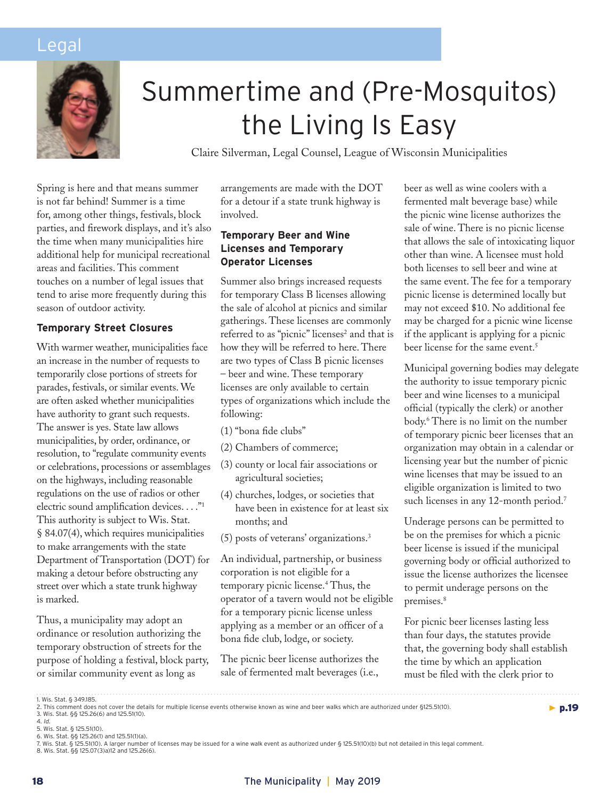# Legal



# Summertime and (Pre-Mosquitos) the Living Is Easy

Claire Silverman, Legal Counsel, League of Wisconsin Municipalities

Spring is here and that means summer is not far behind! Summer is a time for, among other things, festivals, block parties, and firework displays, and it's also the time when many municipalities hire additional help for municipal recreational areas and facilities. This comment touches on a number of legal issues that tend to arise more frequently during this season of outdoor activity.

# **Temporary Street Closures**

With warmer weather, municipalities face an increase in the number of requests to temporarily close portions of streets for parades, festivals, or similar events. We are often asked whether municipalities have authority to grant such requests. The answer is yes. State law allows municipalities, by order, ordinance, or resolution, to "regulate community events or celebrations, processions or assemblages on the highways, including reasonable regulations on the use of radios or other electric sound amplification devices. . . ."1 This authority is subject to Wis. Stat. § 84.07(4), which requires municipalities to make arrangements with the state Department of Transportation (DOT) for making a detour before obstructing any street over which a state trunk highway is marked.

Thus, a municipality may adopt an ordinance or resolution authorizing the temporary obstruction of streets for the purpose of holding a festival, block party, or similar community event as long as

arrangements are made with the DOT for a detour if a state trunk highway is involved.

# **Temporary Beer and Wine Licenses and Temporary Operator Licenses**

Summer also brings increased requests for temporary Class B licenses allowing the sale of alcohol at picnics and similar gatherings. These licenses are commonly referred to as "picnic" licenses<sup>2</sup> and that is how they will be referred to here. There are two types of Class B picnic licenses – beer and wine. These temporary licenses are only available to certain types of organizations which include the following:

- (1) "bona fide clubs"
- (2) Chambers of commerce;
- (3) county or local fair associations or agricultural societies;
- (4) churches, lodges, or societies that have been in existence for at least six months; and
- (5) posts of veterans' organizations.3

An individual, partnership, or business corporation is not eligible for a temporary picnic license.4 Thus, the operator of a tavern would not be eligible for a temporary picnic license unless applying as a member or an officer of a bona fide club, lodge, or society.

The picnic beer license authorizes the sale of fermented malt beverages (i.e.,

beer as well as wine coolers with a fermented malt beverage base) while the picnic wine license authorizes the sale of wine. There is no picnic license that allows the sale of intoxicating liquor other than wine. A licensee must hold both licenses to sell beer and wine at the same event. The fee for a temporary picnic license is determined locally but may not exceed \$10. No additional fee may be charged for a picnic wine license if the applicant is applying for a picnic beer license for the same event.<sup>5</sup>

Municipal governing bodies may delegate the authority to issue temporary picnic beer and wine licenses to a municipal official (typically the clerk) or another body.6 There is no limit on the number of temporary picnic beer licenses that an organization may obtain in a calendar or licensing year but the number of picnic wine licenses that may be issued to an eligible organization is limited to two such licenses in any 12-month period.<sup>7</sup>

Underage persons can be permitted to be on the premises for which a picnic beer license is issued if the municipal governing body or official authorized to issue the license authorizes the licensee to permit underage persons on the premises.<sup>8</sup>

For picnic beer licenses lasting less than four days, the statutes provide that, the governing body shall establish the time by which an application must be filed with the clerk prior to

 $\blacktriangleright$  p.19

<sup>1.</sup> Wis. Stat. § 349.185.<br>2. This comment does not cover the details for multiple license events otherwise known as wine and beer walks which are authorized under §125.51(10).

<sup>3.</sup> Wis. Stat. §§ 125.26(6) and 125.51(10).

<sup>4.</sup> *ld.*<br>5. Wis. Stat. § 125.51(10).<br>6. Wis. Stat. §§ 125.26(1) and 125.51(1)(a).<br>7. Wis. Stat. §§ 125.51(10). A larger number of licenses may be issued for a wine walk event as authorized under § 125.51(10)(b) but not det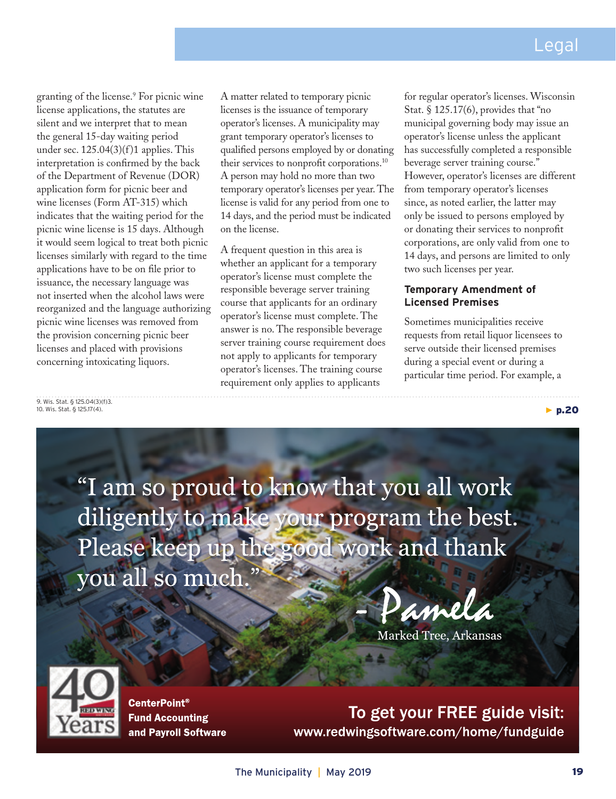▶ p.20

granting of the license.9 For picnic wine license applications, the statutes are silent and we interpret that to mean the general 15-day waiting period under sec.  $125.04(3)(f)1$  applies. This interpretation is confirmed by the back of the Department of Revenue (DOR) application form for picnic beer and wine licenses (Form AT-315) which indicates that the waiting period for the picnic wine license is 15 days. Although it would seem logical to treat both picnic licenses similarly with regard to the time applications have to be on file prior to issuance, the necessary language was not inserted when the alcohol laws were reorganized and the language authorizing picnic wine licenses was removed from the provision concerning picnic beer licenses and placed with provisions concerning intoxicating liquors.

A matter related to temporary picnic licenses is the issuance of temporary operator's licenses. A municipality may grant temporary operator's licenses to qualified persons employed by or donating their services to nonprofit corporations.<sup>10</sup> A person may hold no more than two temporary operator's licenses per year. The license is valid for any period from one to 14 days, and the period must be indicated on the license.

A frequent question in this area is whether an applicant for a temporary operator's license must complete the responsible beverage server training course that applicants for an ordinary operator's license must complete. The answer is no. The responsible beverage server training course requirement does not apply to applicants for temporary operator's licenses. The training course requirement only applies to applicants

for regular operator's licenses. Wisconsin Stat. § 125.17(6), provides that "no municipal governing body may issue an operator's license unless the applicant has successfully completed a responsible beverage server training course." However, operator's licenses are different from temporary operator's licenses since, as noted earlier, the latter may only be issued to persons employed by or donating their services to nonprofit corporations, are only valid from one to 14 days, and persons are limited to only two such licenses per year.

# **Temporary Amendment of Licensed Premises**

Sometimes municipalities receive requests from retail liquor licensees to serve outside their licensed premises during a special event or during a particular time period. For example, a

9. Wis. Stat. § 125.04(3)(f)3. 10. Wis. Stat. § 125.17(4).

> "I am so proud to know that you all work diligently to make your program the best. Please keep up the good work and thank you all so much."

- Pamela

Marked Tree, Arkansas



CenterPoint® Fund Accounting and Payroll Software

To get your FREE guide visit: www.redwingsoftware.com/home/fundguide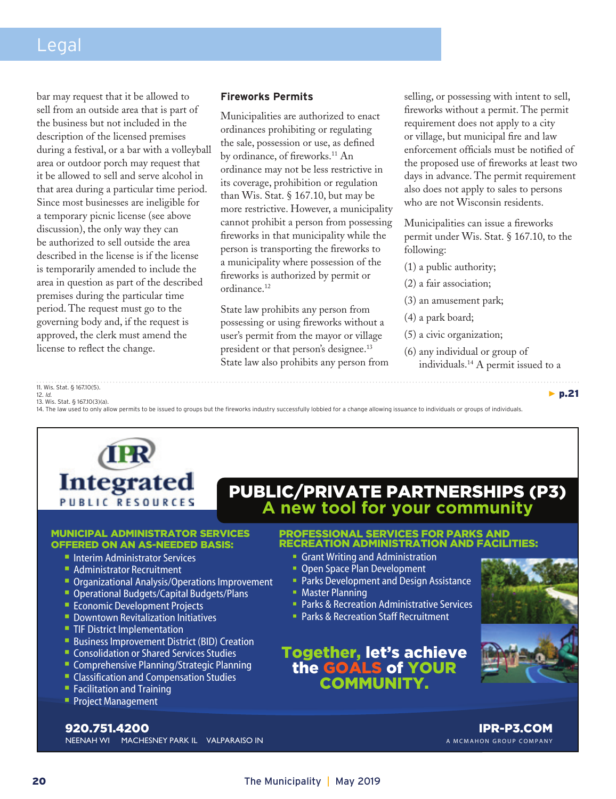# Legal

bar may request that it be allowed to sell from an outside area that is part of the business but not included in the description of the licensed premises during a festival, or a bar with a volleyball area or outdoor porch may request that it be allowed to sell and serve alcohol in that area during a particular time period. Since most businesses are ineligible for a temporary picnic license (see above discussion), the only way they can be authorized to sell outside the area described in the license is if the license is temporarily amended to include the area in question as part of the described premises during the particular time period. The request must go to the governing body and, if the request is approved, the clerk must amend the license to reflect the change.

# **Fireworks Permits**

Municipalities are authorized to enact ordinances prohibiting or regulating the sale, possession or use, as defined by ordinance, of fireworks.<sup>11</sup> An ordinance may not be less restrictive in its coverage, prohibition or regulation than Wis. Stat. § 167.10, but may be more restrictive. However, a municipality cannot prohibit a person from possessing fireworks in that municipality while the person is transporting the fireworks to a municipality where possession of the fireworks is authorized by permit or ordinance.<sup>12</sup>

State law prohibits any person from possessing or using fireworks without a user's permit from the mayor or village president or that person's designee.<sup>13</sup> State law also prohibits any person from selling, or possessing with intent to sell, fireworks without a permit. The permit requirement does not apply to a city or village, but municipal fire and law enforcement officials must be notified of the proposed use of fireworks at least two days in advance. The permit requirement also does not apply to sales to persons who are not Wisconsin residents.

Municipalities can issue a fireworks permit under Wis. Stat. § 167.10, to the following:

- (1) a public authority;
- (2) a fair association;
- (3) an amusement park;
- (4) a park board;
- (5) a civic organization;
- (6) any individual or group of individuals.14 A permit issued to a

11. Wis. Stat. § 167.10(5).

12. *Id*. 13. Wis. Stat. § 167.10(3)(a).

14. The law used to only allow permits to be issued to groups but the fireworks industry successfully lobbied for a change allowing issuance to individuals or groups of individuals.



#### MUNICIPAL ADMINISTRATOR SERVICES OFFERED ON AN AS-NEEDED BASIS:

- **Interim Administrator Services**
- **Administrator Recruitment**
- **Dimonmum Analysis/Operations Improvement**
- **Operational Budgets/Capital Budgets/Plans**
- Economic Development Projects
- Downtown Revitalization Initiatives
- **TIF District Implementation**
- **Business Improvement District (BID) Creation**
- **Consolidation or Shared Services Studies**
- Comprehensive Planning/Strategic Planning
- **Classification and Compensation Studies**
- Facilitation and Training
- **Project Management**

PUBLIC/PRIVATE PARTNERSHIPS (P3) **A new tool for your community**

# PROFESSIONAL SERVICES FOR PARKS AND RECREATION ADMINISTRATION AND FACILITIES:

- Grant Writing and Administration
- **Open Space Plan Development**
- **Parks Development and Design Assistance**
- **Master Planning**
- **Parks & Recreation Administrative Services**
- **Parks & Recreation Staff Recruitment**

# Together, let's achieve the GOALS of YOUR **COMMUNIT**



▶ p.21

NEENAH WI MACHESNEY PARK IL VALPARAISO IN 920.751.4200

IPR-P3.COM A MCMAHON GROUP COMPANY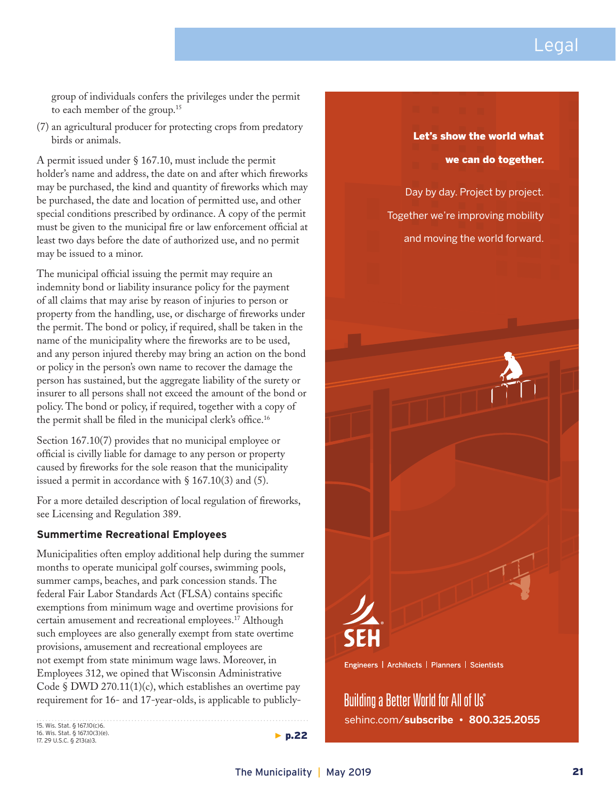

group of individuals confers the privileges under the permit to each member of the group.15

(7) an agricultural producer for protecting crops from predatory birds or animals.

A permit issued under § 167.10, must include the permit holder's name and address, the date on and after which fireworks may be purchased, the kind and quantity of fireworks which may be purchased, the date and location of permitted use, and other special conditions prescribed by ordinance. A copy of the permit must be given to the municipal fire or law enforcement official at least two days before the date of authorized use, and no permit may be issued to a minor.

The municipal official issuing the permit may require an indemnity bond or liability insurance policy for the payment of all claims that may arise by reason of injuries to person or property from the handling, use, or discharge of fireworks under the permit. The bond or policy, if required, shall be taken in the name of the municipality where the fireworks are to be used, and any person injured thereby may bring an action on the bond or policy in the person's own name to recover the damage the person has sustained, but the aggregate liability of the surety or insurer to all persons shall not exceed the amount of the bond or policy. The bond or policy, if required, together with a copy of the permit shall be filed in the municipal clerk's office.<sup>16</sup>

Section 167.10(7) provides that no municipal employee or official is civilly liable for damage to any person or property caused by fireworks for the sole reason that the municipality issued a permit in accordance with  $\S$  167.10(3) and (5).

For a more detailed description of local regulation of fireworks, see Licensing and Regulation 389.

### **Summertime Recreational Employees**

Municipalities often employ additional help during the summer months to operate municipal golf courses, swimming pools, summer camps, beaches, and park concession stands. The federal Fair Labor Standards Act (FLSA) contains specific exemptions from minimum wage and overtime provisions for certain amusement and recreational employees.<sup>17</sup> Although such employees are also generally exempt from state overtime provisions, amusement and recreational employees are not exempt from state minimum wage laws. Moreover, in Employees 312, we opined that Wisconsin Administrative Code § DWD 270.11(1)(c), which establishes an overtime pay requirement for 16- and 17-year-olds, is applicable to publicly-

15. Wis. Stat. § 167.10(c)6. 16. Wis. Stat. § 167.10(3)(e). 17. 29 U.S.C. § 213(a)3.

# Let's show the world what we can do together.

Day by day. Project by project. Together we're improving mobility and moving the world forward.



Engineers | Architects | Planners | Scientists

Building a Better World for All of Us® sehinc.com/**subscribe • 800.325.2055**

 $\blacktriangleright$  p.22